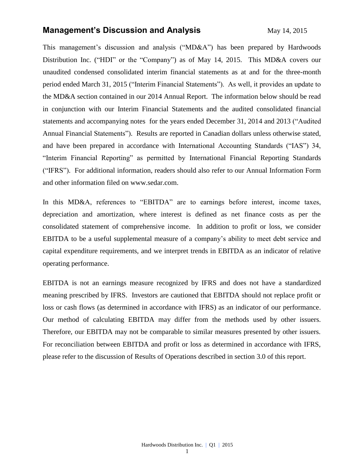### **Management's Discussion and Analysis** May 14, 2015

This management's discussion and analysis ("MD&A") has been prepared by Hardwoods Distribution Inc. ("HDI" or the "Company") as of May 14, 2015. This MD&A covers our unaudited condensed consolidated interim financial statements as at and for the three-month period ended March 31, 2015 ("Interim Financial Statements"). As well, it provides an update to the MD&A section contained in our 2014 Annual Report. The information below should be read in conjunction with our Interim Financial Statements and the audited consolidated financial statements and accompanying notes for the years ended December 31, 2014 and 2013 ("Audited Annual Financial Statements"). Results are reported in Canadian dollars unless otherwise stated, and have been prepared in accordance with International Accounting Standards ("IAS") 34, "Interim Financial Reporting" as permitted by International Financial Reporting Standards ("IFRS"). For additional information, readers should also refer to our Annual Information Form and other information filed on [www.sedar.com.](http://www.sedar.com/)

In this MD&A, references to "EBITDA" are to earnings before interest, income taxes, depreciation and amortization, where interest is defined as net finance costs as per the consolidated statement of comprehensive income. In addition to profit or loss, we consider EBITDA to be a useful supplemental measure of a company's ability to meet debt service and capital expenditure requirements, and we interpret trends in EBITDA as an indicator of relative operating performance.

EBITDA is not an earnings measure recognized by IFRS and does not have a standardized meaning prescribed by IFRS. Investors are cautioned that EBITDA should not replace profit or loss or cash flows (as determined in accordance with IFRS) as an indicator of our performance. Our method of calculating EBITDA may differ from the methods used by other issuers. Therefore, our EBITDA may not be comparable to similar measures presented by other issuers. For reconciliation between EBITDA and profit or loss as determined in accordance with IFRS, please refer to the discussion of Results of Operations described in section 3.0 of this report.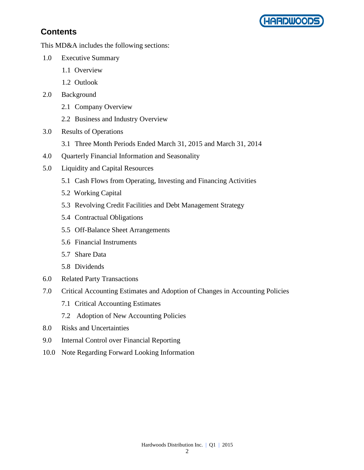

# **Contents**

This MD&A includes the following sections:

- 1.0 Executive Summary
	- 1.1 Overview
	- 1.2 Outlook
- 2.0 Background
	- 2.1 Company Overview
	- 2.2 Business and Industry Overview
- 3.0 Results of Operations
	- 3.1 Three Month Periods Ended March 31, 2015 and March 31, 2014
- 4.0 Quarterly Financial Information and Seasonality
- 5.0 Liquidity and Capital Resources
	- 5.1 Cash Flows from Operating, Investing and Financing Activities
	- 5.2 Working Capital
	- 5.3 Revolving Credit Facilities and Debt Management Strategy
	- 5.4 Contractual Obligations
	- 5.5 Off-Balance Sheet Arrangements
	- 5.6 Financial Instruments
	- 5.7 Share Data
	- 5.8 Dividends
- 6.0 Related Party Transactions
- 7.0 Critical Accounting Estimates and Adoption of Changes in Accounting Policies
	- 7.1 Critical Accounting Estimates
	- 7.2 Adoption of New Accounting Policies
- 8.0 Risks and Uncertainties
- 9.0 Internal Control over Financial Reporting
- 10.0 Note Regarding Forward Looking Information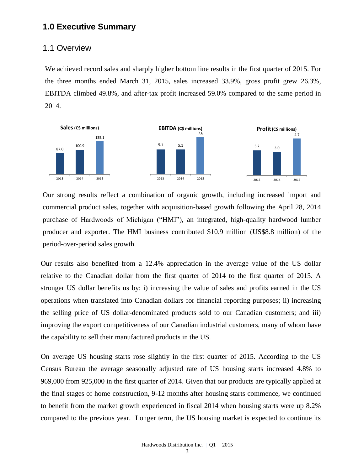### **1.0 Executive Summary**

#### 1.1 Overview

We achieved record sales and sharply higher bottom line results in the first quarter of 2015. For the three months ended March 31, 2015, sales increased 33.9%, gross profit grew 26.3%, EBITDA climbed 49.8%, and after-tax profit increased 59.0% compared to the same period in 2014.



Our strong results reflect a combination of organic growth, including increased import and commercial product sales, together with acquisition-based growth following the April 28, 2014 purchase of Hardwoods of Michigan ("HMI"), an integrated, high-quality hardwood lumber producer and exporter. The HMI business contributed \$10.9 million (US\$8.8 million) of the period-over-period sales growth.

Our results also benefited from a 12.4% appreciation in the average value of the US dollar relative to the Canadian dollar from the first quarter of 2014 to the first quarter of 2015. A stronger US dollar benefits us by: i) increasing the value of sales and profits earned in the US operations when translated into Canadian dollars for financial reporting purposes; ii) increasing the selling price of US dollar-denominated products sold to our Canadian customers; and iii) improving the export competitiveness of our Canadian industrial customers, many of whom have the capability to sell their manufactured products in the US.

On average US housing starts rose slightly in the first quarter of 2015. According to the US Census Bureau the average seasonally adjusted rate of US housing starts increased 4.8% to 969,000 from 925,000 in the first quarter of 2014. Given that our products are typically applied at the final stages of home construction, 9-12 months after housing starts commence, we continued to benefit from the market growth experienced in fiscal 2014 when housing starts were up 8.2% compared to the previous year. Longer term, the US housing market is expected to continue its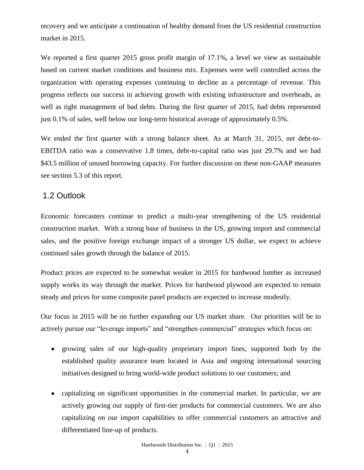recovery and we anticipate a continuation of healthy demand from the US residential construction market in 2015.

We reported a first quarter 2015 gross profit margin of 17.1%, a level we view as sustainable based on current market conditions and business mix. Expenses were well controlled across the organization with operating expenses continuing to decline as a percentage of revenue. This progress reflects our success in achieving growth with existing infrastructure and overheads, as well as tight management of bad debts. During the first quarter of 2015, bad debts represented just 0.1% of sales, well below our long-term historical average of approximately 0.5%.

We ended the first quarter with a strong balance sheet. As at March 31, 2015, net debt-to-EBITDA ratio was a conservative 1.8 times, debt-to-capital ratio was just 29.7% and we had \$43.5 million of unused borrowing capacity. For further discussion on these non-GAAP measures see section 5.3 of this report.

# 1.2 Outlook

Economic forecasters continue to predict a multi-year strengthening of the US residential construction market. With a strong base of business in the US, growing import and commercial sales, and the positive foreign exchange impact of a stronger US dollar, we expect to achieve continued sales growth through the balance of 2015.

Product prices are expected to be somewhat weaker in 2015 for hardwood lumber as increased supply works its way through the market. Prices for hardwood plywood are expected to remain steady and prices for some composite panel products are expected to increase modestly.

Our focus in 2015 will be on further expanding our US market share. Our priorities will be to actively pursue our "leverage imports" and "strengthen commercial" strategies which focus on:

- $\bullet$ growing sales of our high-quality proprietary import lines, supported both by the established quality assurance team located in Asia and ongoing international sourcing initiatives designed to bring world-wide product solutions to our customers; and
- capitalizing on significant opportunities in the commercial market. In particular, we are  $\bullet$ actively growing our supply of first-tier products for commercial customers. We are also capitalizing on our import capabilities to offer commercial customers an attractive and differentiated line-up of products.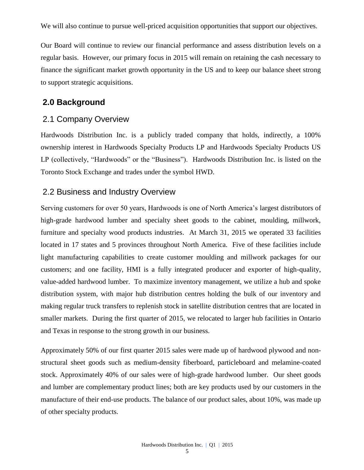We will also continue to pursue well-priced acquisition opportunities that support our objectives.

Our Board will continue to review our financial performance and assess distribution levels on a regular basis. However, our primary focus in 2015 will remain on retaining the cash necessary to finance the significant market growth opportunity in the US and to keep our balance sheet strong to support strategic acquisitions.

### **2.0 Background**

### 2.1 Company Overview

Hardwoods Distribution Inc. is a publicly traded company that holds, indirectly, a 100% ownership interest in Hardwoods Specialty Products LP and Hardwoods Specialty Products US LP (collectively, "Hardwoods" or the "Business"). Hardwoods Distribution Inc. is listed on the [Toronto Stock Exchange and trades under the symbol](http://tmx.quotemedia.com/quote.php?qm_symbol=TPK&locale=EN) HWD.

### 2.2 Business and Industry Overview

Serving customers for over 50 years, Hardwoods is one of North America's largest distributors of high-grade hardwood lumber and specialty sheet goods to the cabinet, moulding, millwork, furniture and specialty wood products industries. At March 31, 2015 we operated 33 facilities located in 17 states and 5 provinces throughout North America. Five of these facilities include light manufacturing capabilities to create customer moulding and millwork packages for our customers; and one facility, HMI is a fully integrated producer and exporter of high-quality, value-added hardwood lumber. To maximize inventory management, we utilize a hub and spoke distribution system, with major hub distribution centres holding the bulk of our inventory and making regular truck transfers to replenish stock in satellite distribution centres that are located in smaller markets. During the first quarter of 2015, we relocated to larger hub facilities in Ontario and Texas in response to the strong growth in our business.

Approximately 50% of our first quarter 2015 sales were made up of hardwood plywood and nonstructural sheet goods such as medium-density fiberboard, particleboard and melamine-coated stock. Approximately 40% of our sales were of high-grade hardwood lumber. Our sheet goods and lumber are complementary product lines; both are key products used by our customers in the manufacture of their end-use products. The balance of our product sales, about 10%, was made up of other specialty products.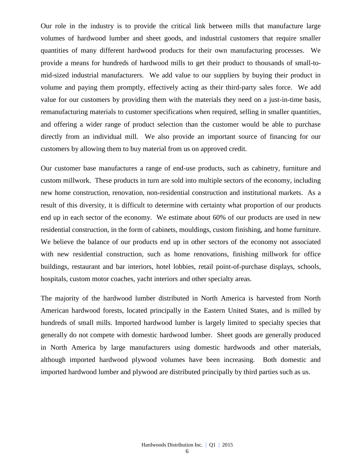Our role in the industry is to provide the critical link between mills that manufacture large volumes of hardwood lumber and sheet goods, and industrial customers that require smaller quantities of many different hardwood products for their own manufacturing processes. We provide a means for hundreds of hardwood mills to get their product to thousands of small-tomid-sized industrial manufacturers. We add value to our suppliers by buying their product in volume and paying them promptly, effectively acting as their third-party sales force. We add value for our customers by providing them with the materials they need on a just-in-time basis, remanufacturing materials to customer specifications when required, selling in smaller quantities, and offering a wider range of product selection than the customer would be able to purchase directly from an individual mill. We also provide an important source of financing for our customers by allowing them to buy material from us on approved credit.

Our customer base manufactures a range of end-use products, such as cabinetry, furniture and custom millwork. These products in turn are sold into multiple sectors of the economy, including new home construction, renovation, non-residential construction and institutional markets. As a result of this diversity, it is difficult to determine with certainty what proportion of our products end up in each sector of the economy. We estimate about 60% of our products are used in new residential construction, in the form of cabinets, mouldings, custom finishing, and home furniture. We believe the balance of our products end up in other sectors of the economy not associated with new residential construction, such as home renovations, finishing millwork for office buildings, restaurant and bar interiors, hotel lobbies, retail point-of-purchase displays, schools, hospitals, custom motor coaches, yacht interiors and other specialty areas.

The majority of the hardwood lumber distributed in North America is harvested from North American hardwood forests, located principally in the Eastern United States, and is milled by hundreds of small mills. Imported hardwood lumber is largely limited to specialty species that generally do not compete with domestic hardwood lumber. Sheet goods are generally produced in North America by large manufacturers using domestic hardwoods and other materials, although imported hardwood plywood volumes have been increasing. Both domestic and imported hardwood lumber and plywood are distributed principally by third parties such as us.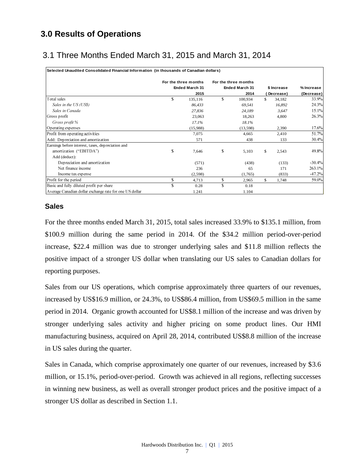# **3.0 Results of Operations**

# 3.1 Three Months Ended March 31, 2015 and March 31, 2014

| Selected Unaudited Consolidated Financial Information (in thousands of Canadian dollars) |                                        |          |    |                                               |    |             |            |
|------------------------------------------------------------------------------------------|----------------------------------------|----------|----|-----------------------------------------------|----|-------------|------------|
|                                                                                          | For the three months<br>Ended March 31 |          |    | For the three months<br><b>Ended March 31</b> |    | \$ Increase | % Increase |
|                                                                                          |                                        | 2015     |    | 2014                                          |    | Decrease)   | (Decrease) |
| Total sales                                                                              | \$                                     | 135,116  | \$ | 100,934                                       | \$ | 34,182      | 33.9%      |
| Sales in the US (US\$)                                                                   |                                        | 86,433   |    | 69,541                                        |    | 16,892      | 24.3%      |
| Sales in Canada                                                                          |                                        | 27,836   |    | 24,189                                        |    | 3,647       | 15.1%      |
| Gross profit                                                                             |                                        | 23,063   |    | 18,263                                        |    | 4,800       | 26.3%      |
| Gross profit %                                                                           |                                        | 17.1%    |    | 18.1%                                         |    |             |            |
| Operating expenses                                                                       |                                        | (15,988) |    | (13,598)                                      |    | 2,390       | 17.6%      |
| Profit from operating activities                                                         |                                        | 7,075    |    | 4,665                                         |    | 2,410       | 51.7%      |
| Add: Depreciation and amortization                                                       |                                        | 571      |    | 438                                           |    | 133         | 30.4%      |
| Earnings before interest, taxes, depreciation and                                        |                                        |          |    |                                               |    |             |            |
| amortization ("EBITDA")                                                                  | \$                                     | 7,646    | \$ | 5,103                                         | \$ | 2,543       | 49.8%      |
| Add (deduct):                                                                            |                                        |          |    |                                               |    |             |            |
| Depreciation and amortization                                                            |                                        | (571)    |    | (438)                                         |    | (133)       | $-30.4%$   |
| Net finance income                                                                       |                                        | 236      |    | 65                                            |    | 171         | 263.1%     |
| Income tax expense                                                                       |                                        | (2,598)  |    | (1,765)                                       |    | (833)       | $-47.2%$   |
| Profit for the period                                                                    | \$                                     | 4,713    | \$ | 2,965                                         | \$ | 1,748       | 59.0%      |
| Basic and fully diluted profit per share                                                 | \$                                     | 0.28     | S  | 0.18                                          |    |             |            |
| Average Canadian dollar exchange rate for one US dollar                                  |                                        | 1.241    |    | 1.104                                         |    |             |            |

#### **Sales**

For the three months ended March 31, 2015, total sales increased 33.9% to \$135.1 million, from \$100.9 million during the same period in 2014. Of the \$34.2 million period-over-period increase, \$22.4 million was due to stronger underlying sales and \$11.8 million reflects the positive impact of a stronger US dollar when translating our US sales to Canadian dollars for reporting purposes.

Sales from our US operations, which comprise approximately three quarters of our revenues, increased by US\$16.9 million, or 24.3%, to US\$86.4 million, from US\$69.5 million in the same period in 2014. Organic growth accounted for US\$8.1 million of the increase and was driven by stronger underlying sales activity and higher pricing on some product lines. Our HMI manufacturing business, acquired on April 28, 2014, contributed US\$8.8 million of the increase in US sales during the quarter.

Sales in Canada, which comprise approximately one quarter of our revenues, increased by \$3.6 million, or 15.1%, period-over-period. Growth was achieved in all regions, reflecting successes in winning new business, as well as overall stronger product prices and the positive impact of a stronger US dollar as described in Section 1.1.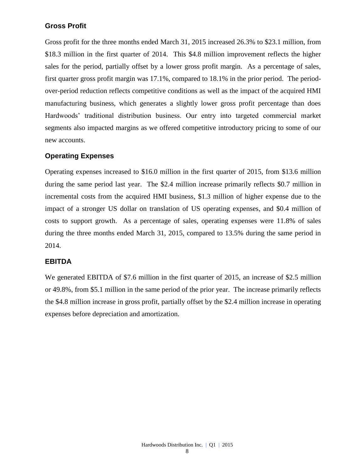#### **Gross Profit**

Gross profit for the three months ended March 31, 2015 increased 26.3% to \$23.1 million, from \$18.3 million in the first quarter of 2014. This \$4.8 million improvement reflects the higher sales for the period, partially offset by a lower gross profit margin. As a percentage of sales, first quarter gross profit margin was 17.1%, compared to 18.1% in the prior period. The periodover-period reduction reflects competitive conditions as well as the impact of the acquired HMI manufacturing business, which generates a slightly lower gross profit percentage than does Hardwoods' traditional distribution business. Our entry into targeted commercial market segments also impacted margins as we offered competitive introductory pricing to some of our new accounts.

#### **Operating Expenses**

Operating expenses increased to \$16.0 million in the first quarter of 2015, from \$13.6 million during the same period last year. The \$2.4 million increase primarily reflects \$0.7 million in incremental costs from the acquired HMI business, \$1.3 million of higher expense due to the impact of a stronger US dollar on translation of US operating expenses, and \$0.4 million of costs to support growth. As a percentage of sales, operating expenses were 11.8% of sales during the three months ended March 31, 2015, compared to 13.5% during the same period in 2014.

#### **EBITDA**

We generated EBITDA of \$7.6 million in the first quarter of 2015, an increase of \$2.5 million or 49.8%, from \$5.1 million in the same period of the prior year. The increase primarily reflects the \$4.8 million increase in gross profit, partially offset by the \$2.4 million increase in operating expenses before depreciation and amortization.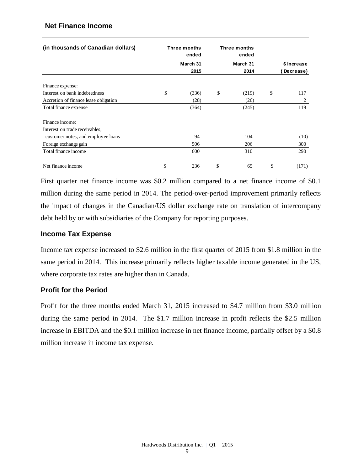#### **Net Finance Income**

| (in thousands of Canadian dollars)    | Three months<br><b>Three months</b><br>ended<br>March 31 |    | ended<br>March 31 | \$ Increase |           |
|---------------------------------------|----------------------------------------------------------|----|-------------------|-------------|-----------|
|                                       | 2015                                                     |    | 2014              |             | Decrease) |
| Finance expense:                      |                                                          |    |                   |             |           |
| Interest on bank indebtedness         | \$<br>(336)                                              | \$ | (219)             | \$          | 117       |
| Accretion of finance lease obligation | (28)                                                     |    | (26)              |             |           |
| Total finance expense                 | (364)                                                    |    | (245)             |             | 119       |
| Finance income:                       |                                                          |    |                   |             |           |
| Interest on trade receivables,        |                                                          |    |                   |             |           |
| customer notes, and employee loans    | 94                                                       |    | 104               |             | (10)      |
| Foreign exchange gain                 | 506                                                      |    | 206               |             | 300       |
| Total finance income                  | 600                                                      |    | 310               |             | 290       |
| Net finance income                    | \$<br>236                                                | \$ | 65                | \$          | (171)     |

First quarter net finance income was \$0.2 million compared to a net finance income of \$0.1 million during the same period in 2014. The period-over-period improvement primarily reflects the impact of changes in the Canadian/US dollar exchange rate on translation of intercompany debt held by or with subsidiaries of the Company for reporting purposes.

### **Income Tax Expense**

Income tax expense increased to \$2.6 million in the first quarter of 2015 from \$1.8 million in the same period in 2014. This increase primarily reflects higher taxable income generated in the US, where corporate tax rates are higher than in Canada.

### **Profit for the Period**

Profit for the three months ended March 31, 2015 increased to \$4.7 million from \$3.0 million during the same period in 2014. The \$1.7 million increase in profit reflects the \$2.5 million increase in EBITDA and the \$0.1 million increase in net finance income, partially offset by a \$0.8 million increase in income tax expense.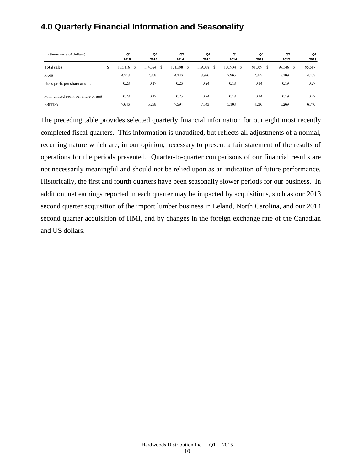# **4.0 Quarterly Financial Information and Seasonality**

| (in thousands of dollars)              | Q1<br>2015    | Q4<br>2014    | Q3<br>2014    | Q <sub>2</sub><br>2014 | Q1<br>2014 | Q <sub>4</sub><br>2013 |    | Q3<br>2013 | Q2<br>2013   |
|----------------------------------------|---------------|---------------|---------------|------------------------|------------|------------------------|----|------------|--------------|
| Total sales                            | \$<br>135,116 | \$<br>114,324 | \$<br>121,398 | \$<br>119,038 \$       | 100,934 \$ | 91,069                 | S. | 97,546     | 95,617<br>-S |
| Profit                                 | 4,713         | 2,808         | 4,246         | 3,996                  | 2,965      | 2,375                  |    | 3,109      | 4,403        |
| Basic profit per share or unit         | 0.28          | 0.17          | 0.26          | 0.24                   | 0.18       | 0.14                   |    | 0.19       | 0.27         |
| Fully diluted profit per share or unit | 0.28          | 0.17          | 0.25          | 0.24                   | 0.18       | 0.14                   |    | 0.19       | 0.27         |
| <b>EBITDA</b>                          | 7,646         | 5,238         | 7,594         | 7,543                  | 5,103      | 4,216                  |    | 5,269      | 6,740        |

The preceding table provides selected quarterly financial information for our eight most recently completed fiscal quarters. This information is unaudited, but reflects all adjustments of a normal, recurring nature which are, in our opinion, necessary to present a fair statement of the results of operations for the periods presented. Quarter-to-quarter comparisons of our financial results are not necessarily meaningful and should not be relied upon as an indication of future performance. Historically, the first and fourth quarters have been seasonally slower periods for our business. In addition, net earnings reported in each quarter may be impacted by acquisitions, such as our 2013 second quarter acquisition of the import lumber business in Leland, North Carolina, and our 2014 second quarter acquisition of HMI, and by changes in the foreign exchange rate of the Canadian and US dollars.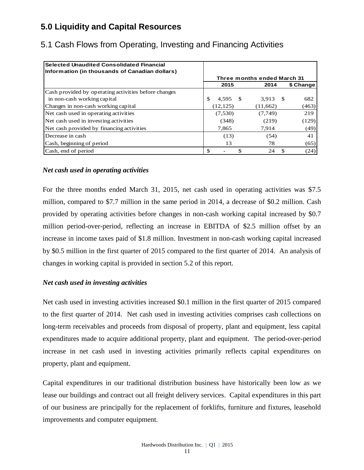# **5.0 Liquidity and Capital Resources**

| <b>Selected Unaudited Consolidated Financial</b><br>Information (in thousands of Canadian dollars) |           |                             |             |
|----------------------------------------------------------------------------------------------------|-----------|-----------------------------|-------------|
|                                                                                                    |           | Three months ended March 31 |             |
|                                                                                                    | 2015      | 2014                        | \$ Change   |
| Cash provided by operating activities before changes                                               |           |                             |             |
| in non-cash working capital                                                                        | 4,595     | 3,913<br>$\mathcal{S}$      | 682<br>- \$ |
| Changes in non-cash working capital                                                                | (12, 125) | (11,662)                    | (463)       |
| Net cash used in operating activities                                                              | (7,530)   | (7,749)                     | 219         |
| Net cash used in investing activities                                                              | (348)     | (219)                       | (129)       |
| Net cash provided by financing activities                                                          | 7,865     | 7.914                       | (49)        |
| Decrease in cash                                                                                   | (13)      | (54)                        | 41          |
| Cash, beginning of period                                                                          | 13        | 78                          | (65)        |
| Cash, end of period                                                                                |           | 24                          | (24)<br>-S  |

# 5.1 Cash Flows from Operating, Investing and Financing Activities

#### *Net cash used in operating activities*

For the three months ended March 31, 2015, net cash used in operating activities was \$7.5 million, compared to \$7.7 million in the same period in 2014, a decrease of \$0.2 million. Cash provided by operating activities before changes in non-cash working capital increased by \$0.7 million period-over-period, reflecting an increase in EBITDA of \$2.5 million offset by an increase in income taxes paid of \$1.8 million. Investment in non-cash working capital increased by \$0.5 million in the first quarter of 2015 compared to the first quarter of 2014. An analysis of changes in working capital is provided in section 5.2 of this report.

#### *Net cash used in investing activities*

Net cash used in investing activities increased \$0.1 million in the first quarter of 2015 compared to the first quarter of 2014. Net cash used in investing activities comprises cash collections on long-term receivables and proceeds from disposal of property, plant and equipment, less capital expenditures made to acquire additional property, plant and equipment. The period-over-period increase in net cash used in investing activities primarily reflects capital expenditures on property, plant and equipment.

Capital expenditures in our traditional distribution business have historically been low as we lease our buildings and contract out all freight delivery services. Capital expenditures in this part of our business are principally for the replacement of forklifts, furniture and fixtures, leasehold improvements and computer equipment.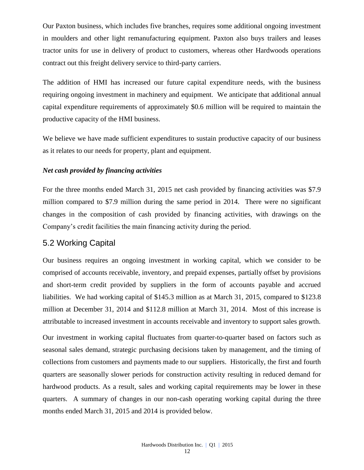Our Paxton business, which includes five branches, requires some additional ongoing investment in moulders and other light remanufacturing equipment. Paxton also buys trailers and leases tractor units for use in delivery of product to customers, whereas other Hardwoods operations contract out this freight delivery service to third-party carriers.

The addition of HMI has increased our future capital expenditure needs, with the business requiring ongoing investment in machinery and equipment. We anticipate that additional annual capital expenditure requirements of approximately \$0.6 million will be required to maintain the productive capacity of the HMI business.

We believe we have made sufficient expenditures to sustain productive capacity of our business as it relates to our needs for property, plant and equipment.

#### *Net cash provided by financing activities*

For the three months ended March 31, 2015 net cash provided by financing activities was \$7.9 million compared to \$7.9 million during the same period in 2014. There were no significant changes in the composition of cash provided by financing activities, with drawings on the Company's credit facilities the main financing activity during the period.

# 5.2 Working Capital

Our business requires an ongoing investment in working capital, which we consider to be comprised of accounts receivable, inventory, and prepaid expenses, partially offset by provisions and short-term credit provided by suppliers in the form of accounts payable and accrued liabilities. We had working capital of \$145.3 million as at March 31, 2015, compared to \$123.8 million at December 31, 2014 and \$112.8 million at March 31, 2014. Most of this increase is attributable to increased investment in accounts receivable and inventory to support sales growth.

Our investment in working capital fluctuates from quarter-to-quarter based on factors such as seasonal sales demand, strategic purchasing decisions taken by management, and the timing of collections from customers and payments made to our suppliers. Historically, the first and fourth quarters are seasonally slower periods for construction activity resulting in reduced demand for hardwood products. As a result, sales and working capital requirements may be lower in these quarters. A summary of changes in our non-cash operating working capital during the three months ended March 31, 2015 and 2014 is provided below.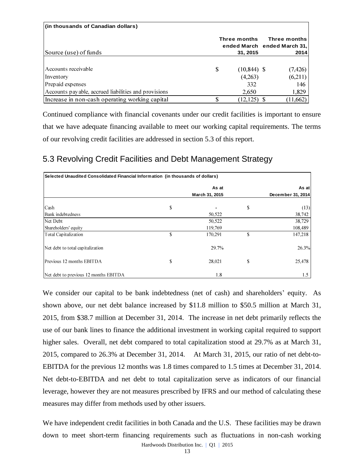| (in thousands of Canadian dollars)                   |        |                                                         |              |          |
|------------------------------------------------------|--------|---------------------------------------------------------|--------------|----------|
| Source (use) of funds                                |        | Three months<br>ended March ended March 31,<br>31, 2015 | Three months | 2014     |
|                                                      |        |                                                         |              |          |
| Accounts receivable                                  | S      | $(10,844)$ \$                                           |              | (7, 426) |
| Inventory                                            |        | (4,263)                                                 |              | (6,211)  |
| Prepaid expenses                                     |        | 332                                                     |              | 146      |
| Accounts payable, accrued liabilities and provisions |        | 2,650                                                   |              | 1,829    |
| Increase in non-cash operating working capital       | ¢<br>Ф | $(12,125)$ \$                                           |              | (11,662) |

Continued compliance with financial covenants under our credit facilities is important to ensure that we have adequate financing available to meet our working capital requirements. The terms of our revolving credit facilities are addressed in section 5.3 of this report.

# 5.3 Revolving Credit Facilities and Debt Management Strategy

| Selected Unaudited Consolidated Financial Information (in thousands of dollars) |    |                |    |                   |  |  |  |
|---------------------------------------------------------------------------------|----|----------------|----|-------------------|--|--|--|
|                                                                                 |    | As at          |    | As at             |  |  |  |
|                                                                                 |    | March 31, 2015 |    | December 31, 2014 |  |  |  |
| Cash                                                                            | \$ |                | \$ | (13)              |  |  |  |
| Bank indebtedness                                                               |    | 50,522         |    | 38,742            |  |  |  |
| Net Debt                                                                        |    | 50,522         |    | 38,729            |  |  |  |
| Shareholders' equity                                                            |    | 119,769        |    | 108,489           |  |  |  |
| Total Capitalization                                                            | \$ | 170,291        | \$ | 147,218           |  |  |  |
| Net debt to total capitalization                                                |    | 29.7%          |    | 26.3%             |  |  |  |
| Previous 12 months EBITDA                                                       | \$ | 28,021         | \$ | 25,478            |  |  |  |
| Net debt to previous 12 months EBITDA                                           |    | 1.8            |    | 1.5               |  |  |  |

We consider our capital to be bank indebtedness (net of cash) and shareholders' equity. As shown above, our net debt balance increased by \$11.8 million to \$50.5 million at March 31, 2015, from \$38.7 million at December 31, 2014. The increase in net debt primarily reflects the use of our bank lines to finance the additional investment in working capital required to support higher sales. Overall, net debt compared to total capitalization stood at 29.7% as at March 31, 2015, compared to 26.3% at December 31, 2014. At March 31, 2015, our ratio of net debt-to-EBITDA for the previous 12 months was 1.8 times compared to 1.5 times at December 31, 2014. Net debt-to-EBITDA and net debt to total capitalization serve as indicators of our financial leverage, however they are not measures prescribed by IFRS and our method of calculating these measures may differ from methods used by other issuers.

We have independent credit facilities in both Canada and the U.S. These facilities may be drawn down to meet short-term financing requirements such as fluctuations in non-cash working

Hardwoods Distribution Inc. | Q1 | 2015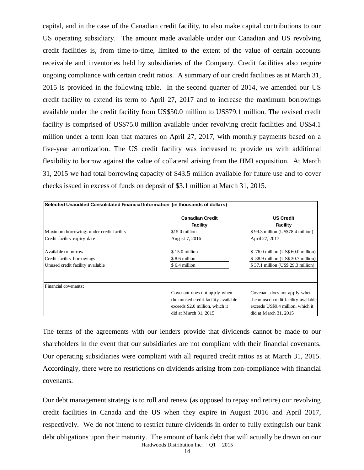capital, and in the case of the Canadian credit facility, to also make capital contributions to our US operating subsidiary. The amount made available under our Canadian and US revolving credit facilities is, from time-to-time, limited to the extent of the value of certain accounts receivable and inventories held by subsidiaries of the Company. Credit facilities also require ongoing compliance with certain credit ratios. A summary of our credit facilities as at March 31, 2015 is provided in the following table. In the second quarter of 2014, we amended our US credit facility to extend its term to April 27, 2017 and to increase the maximum borrowings available under the credit facility from US\$50.0 million to US\$79.1 million. The revised credit facility is comprised of US\$75.0 million available under revolving credit facilities and US\$4.1 million under a term loan that matures on April 27, 2017, with monthly payments based on a five-year amortization. The US credit facility was increased to provide us with additional flexibility to borrow against the value of collateral arising from the HMI acquisition. At March 31, 2015 we had total borrowing capacity of \$43.5 million available for future use and to cover checks issued in excess of funds on deposit of \$3.1 million at March 31, 2015.

| Selected Unaudited Consolidated Financial Information (in thousands of dollars) |                                           |                                        |  |  |  |  |
|---------------------------------------------------------------------------------|-------------------------------------------|----------------------------------------|--|--|--|--|
|                                                                                 | <b>Canadian Credit</b><br><b>Facility</b> | <b>US Credit</b><br><b>Facility</b>    |  |  |  |  |
| Maximum borrowings under credit facility                                        | \$15.0 million                            | \$99.3 million (US\$78.4 million)      |  |  |  |  |
| Credit facility expiry date                                                     | August 7, 2016                            | April 27, 2017                         |  |  |  |  |
| Available to borrow                                                             | $$15.0$ million                           | \$76.0 million (US\$ 60.0 million)     |  |  |  |  |
| Credit facility borrowings                                                      | \$8.6 million                             | 38.9 million (US\$ 30.7 million)<br>S. |  |  |  |  |
| Unused credit facility available                                                | \$6.4 million                             | \$37.1 million (US\$ 29.3 million)     |  |  |  |  |
|                                                                                 |                                           |                                        |  |  |  |  |
| Financial covenants:                                                            |                                           |                                        |  |  |  |  |
|                                                                                 | Covenant does not apply when              | Covenant does not apply when           |  |  |  |  |
|                                                                                 | the unused credit facility available      | the unused credit facility available   |  |  |  |  |
|                                                                                 | exceeds \$2.0 million, which it           | exceeds US\$9.4 million, which it      |  |  |  |  |
|                                                                                 | did at March $31, 2015$                   | did at March $31, 2015$                |  |  |  |  |

The terms of the agreements with our lenders provide that dividends cannot be made to our shareholders in the event that our subsidiaries are not compliant with their financial covenants. Our operating subsidiaries were compliant with all required credit ratios as at March 31, 2015. Accordingly, there were no restrictions on dividends arising from non-compliance with financial covenants.

Hardwoods Distribution Inc. | Q1 | 2015 Our debt management strategy is to roll and renew (as opposed to repay and retire) our revolving credit facilities in Canada and the US when they expire in August 2016 and April 2017, respectively. We do not intend to restrict future dividends in order to fully extinguish our bank debt obligations upon their maturity. The amount of bank debt that will actually be drawn on our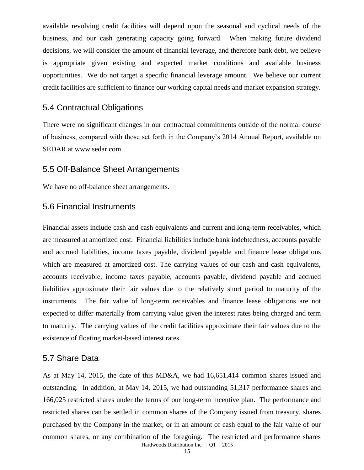available revolving credit facilities will depend upon the seasonal and cyclical needs of the business, and our cash generating capacity going forward. When making future dividend decisions, we will consider the amount of financial leverage, and therefore bank debt, we believe is appropriate given existing and expected market conditions and available business opportunities. We do not target a specific financial leverage amount. We believe our current credit facilities are sufficient to finance our working capital needs and market expansion strategy.

### 5.4 Contractual Obligations

There were no significant changes in our contractual commitments outside of the normal course of business, compared with those set forth in the Company's 2014 Annual Report, available on SEDAR at www.sedar.com.

### 5.5 Off-Balance Sheet Arrangements

We have no off-balance sheet arrangements.

# 5.6 Financial Instruments

Financial assets include cash and cash equivalents and current and long-term receivables, which are measured at amortized cost. Financial liabilities include bank indebtedness, accounts payable and accrued liabilities, income taxes payable, dividend payable and finance lease obligations which are measured at amortized cost. The carrying values of our cash and cash equivalents, accounts receivable, income taxes payable, accounts payable, dividend payable and accrued liabilities approximate their fair values due to the relatively short period to maturity of the instruments. The fair value of long-term receivables and finance lease obligations are not expected to differ materially from carrying value given the interest rates being charged and term to maturity. The carrying values of the credit facilities approximate their fair values due to the existence of floating market-based interest rates.

#### 5.7 Share Data

Hardwoods Distribution Inc. | Q1 | 2015 As at May 14, 2015, the date of this MD&A, we had 16,651,414 common shares issued and outstanding. In addition, at May 14, 2015, we had outstanding 51,317 performance shares and 166,025 restricted shares under the terms of our long-term incentive plan. The performance and restricted shares can be settled in common shares of the Company issued from treasury, shares purchased by the Company in the market, or in an amount of cash equal to the fair value of our common shares, or any combination of the foregoing. The restricted and performance shares

15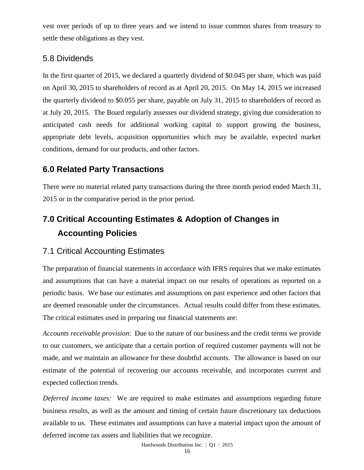vest over periods of up to three years and we intend to issue common shares from treasury to settle these obligations as they vest.

### 5.8 Dividends

In the first quarter of 2015, we declared a quarterly dividend of \$0.045 per share, which was paid on April 30, 2015 to shareholders of record as at April 20, 2015. On May 14, 2015 we increased the quarterly dividend to \$0.055 per share, payable on July 31, 2015 to shareholders of record as at July 20, 2015. The Board regularly assesses our dividend strategy, giving due consideration to anticipated cash needs for additional working capital to support growing the business, appropriate debt levels, acquisition opportunities which may be available, expected market conditions, demand for our products, and other factors.

# **6.0 Related Party Transactions**

There were no material related party transactions during the three month period ended March 31, 2015 or in the comparative period in the prior period.

# **7.0 Critical Accounting Estimates & Adoption of Changes in Accounting Policies**

# 7.1 Critical Accounting Estimates

The preparation of financial statements in accordance with IFRS requires that we make estimates and assumptions that can have a material impact on our results of operations as reported on a periodic basis. We base our estimates and assumptions on past experience and other factors that are deemed reasonable under the circumstances. Actual results could differ from these estimates. The critical estimates used in preparing our financial statements are:

*Accounts receivable provision*: Due to the nature of our business and the credit terms we provide to our customers, we anticipate that a certain portion of required customer payments will not be made, and we maintain an allowance for these doubtful accounts. The allowance is based on our estimate of the potential of recovering our accounts receivable, and incorporates current and expected collection trends.

*Deferred income taxes:* We are required to make estimates and assumptions regarding future business results, as well as the amount and timing of certain future discretionary tax deductions available to us. These estimates and assumptions can have a material impact upon the amount of deferred income tax assets and liabilities that we recognize.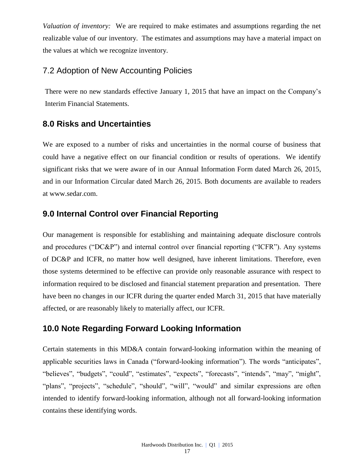*Valuation of inventory:* We are required to make estimates and assumptions regarding the net realizable value of our inventory. The estimates and assumptions may have a material impact on the values at which we recognize inventory.

# 7.2 Adoption of New Accounting Policies

There were no new standards effective January 1, 2015 that have an impact on the Company's Interim Financial Statements.

### **8.0 Risks and Uncertainties**

We are exposed to a number of risks and uncertainties in the normal course of business that could have a negative effect on our financial condition or results of operations. We identify significant risks that we were aware of in our Annual Information Form dated March 26, 2015, and in our Information Circular dated March 26, 2015. Both documents are available to readers at [www.sedar.com.](http://www.sedar.com/)

# **9.0 Internal Control over Financial Reporting**

Our management is responsible for establishing and maintaining adequate disclosure controls and procedures ("DC&P") and internal control over financial reporting ("ICFR"). Any systems of DC&P and ICFR, no matter how well designed, have inherent limitations. Therefore, even those systems determined to be effective can provide only reasonable assurance with respect to information required to be disclosed and financial statement preparation and presentation. There have been no changes in our ICFR during the quarter ended March 31, 2015 that have materially affected, or are reasonably likely to materially affect, our ICFR.

### **10.0 Note Regarding Forward Looking Information**

Certain statements in this MD&A contain forward-looking information within the meaning of applicable securities laws in Canada ("forward-looking information"). The words "anticipates", "believes", "budgets", "could", "estimates", "expects", "forecasts", "intends", "may", "might", "plans", "projects", "schedule", "should", "will", "would" and similar expressions are often intended to identify forward-looking information, although not all forward-looking information contains these identifying words.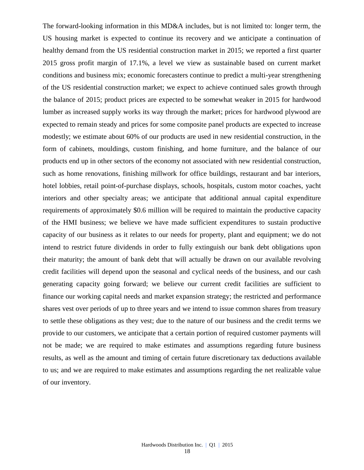The forward-looking information in this MD&A includes, but is not limited to: longer term, the US housing market is expected to continue its recovery and we anticipate a continuation of healthy demand from the US residential construction market in 2015; we reported a first quarter 2015 gross profit margin of 17.1%, a level we view as sustainable based on current market conditions and business mix; economic forecasters continue to predict a multi-year strengthening of the US residential construction market; we expect to achieve continued sales growth through the balance of 2015; product prices are expected to be somewhat weaker in 2015 for hardwood lumber as increased supply works its way through the market; prices for hardwood plywood are expected to remain steady and prices for some composite panel products are expected to increase modestly; we estimate about 60% of our products are used in new residential construction, in the form of cabinets, mouldings, custom finishing, and home furniture, and the balance of our products end up in other sectors of the economy not associated with new residential construction, such as home renovations, finishing millwork for office buildings, restaurant and bar interiors, hotel lobbies, retail point-of-purchase displays, schools, hospitals, custom motor coaches, yacht interiors and other specialty areas; we anticipate that additional annual capital expenditure requirements of approximately \$0.6 million will be required to maintain the productive capacity of the HMI business; we believe we have made sufficient expenditures to sustain productive capacity of our business as it relates to our needs for property, plant and equipment; we do not intend to restrict future dividends in order to fully extinguish our bank debt obligations upon their maturity; the amount of bank debt that will actually be drawn on our available revolving credit facilities will depend upon the seasonal and cyclical needs of the business, and our cash generating capacity going forward; we believe our current credit facilities are sufficient to finance our working capital needs and market expansion strategy; the restricted and performance shares vest over periods of up to three years and we intend to issue common shares from treasury to settle these obligations as they vest; due to the nature of our business and the credit terms we provide to our customers, we anticipate that a certain portion of required customer payments will not be made; we are required to make estimates and assumptions regarding future business results, as well as the amount and timing of certain future discretionary tax deductions available to us; and we are required to make estimates and assumptions regarding the net realizable value of our inventory.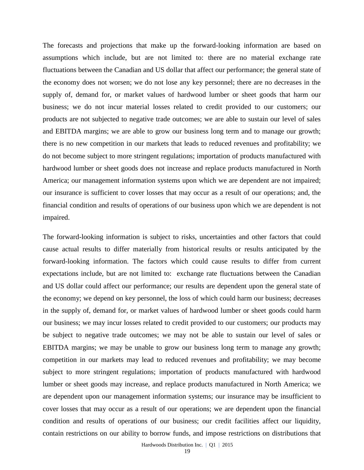The forecasts and projections that make up the forward-looking information are based on assumptions which include, but are not limited to: there are no material exchange rate fluctuations between the Canadian and US dollar that affect our performance; the general state of the economy does not worsen; we do not lose any key personnel; there are no decreases in the supply of, demand for, or market values of hardwood lumber or sheet goods that harm our business; we do not incur material losses related to credit provided to our customers; our products are not subjected to negative trade outcomes; we are able to sustain our level of sales and EBITDA margins; we are able to grow our business long term and to manage our growth; there is no new competition in our markets that leads to reduced revenues and profitability; we do not become subject to more stringent regulations; importation of products manufactured with hardwood lumber or sheet goods does not increase and replace products manufactured in North America; our management information systems upon which we are dependent are not impaired; our insurance is sufficient to cover losses that may occur as a result of our operations; and, the financial condition and results of operations of our business upon which we are dependent is not impaired.

The forward-looking information is subject to risks, uncertainties and other factors that could cause actual results to differ materially from historical results or results anticipated by the forward-looking information. The factors which could cause results to differ from current expectations include, but are not limited to: exchange rate fluctuations between the Canadian and US dollar could affect our performance; our results are dependent upon the general state of the economy; we depend on key personnel, the loss of which could harm our business; decreases in the supply of, demand for, or market values of hardwood lumber or sheet goods could harm our business; we may incur losses related to credit provided to our customers; our products may be subject to negative trade outcomes; we may not be able to sustain our level of sales or EBITDA margins; we may be unable to grow our business long term to manage any growth; competition in our markets may lead to reduced revenues and profitability; we may become subject to more stringent regulations; importation of products manufactured with hardwood lumber or sheet goods may increase, and replace products manufactured in North America; we are dependent upon our management information systems; our insurance may be insufficient to cover losses that may occur as a result of our operations; we are dependent upon the financial condition and results of operations of our business; our credit facilities affect our liquidity, contain restrictions on our ability to borrow funds, and impose restrictions on distributions that